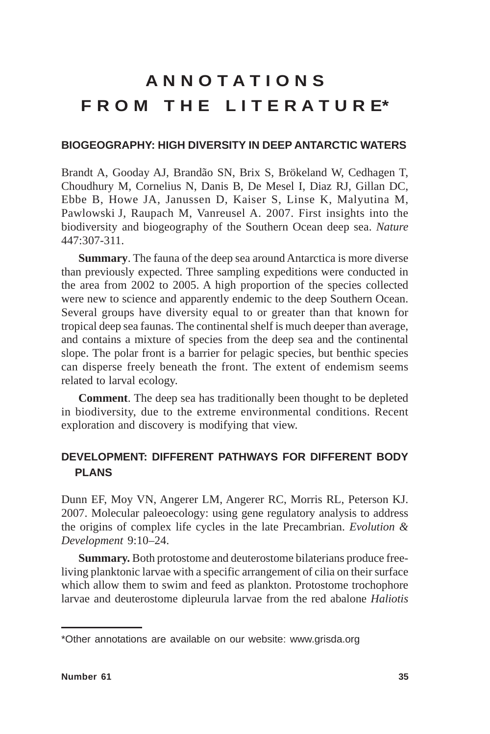# **A N N O T A T I O N S F R O M T H E L I T E R A T U R E\***

## **BIOGEOGRAPHY: HIGH DIVERSITY IN DEEP ANTARCTIC WATERS**

Brandt A, Gooday AJ, Brandão SN, Brix S, Brökeland W, Cedhagen T, Choudhury M, Cornelius N, Danis B, De Mesel I, Diaz RJ, Gillan DC, Ebbe B, Howe JA, Janussen D, Kaiser S, Linse K, Malyutina M, Pawlowski J, Raupach M, Vanreusel A. 2007. First insights into the biodiversity and biogeography of the Southern Ocean deep sea. *Nature* 447:307-311.

**Summary**. The fauna of the deep sea around Antarctica is more diverse than previously expected. Three sampling expeditions were conducted in the area from 2002 to 2005. A high proportion of the species collected were new to science and apparently endemic to the deep Southern Ocean. Several groups have diversity equal to or greater than that known for tropical deep sea faunas. The continental shelf is much deeper than average, and contains a mixture of species from the deep sea and the continental slope. The polar front is a barrier for pelagic species, but benthic species can disperse freely beneath the front. The extent of endemism seems related to larval ecology.

**Comment**. The deep sea has traditionally been thought to be depleted in biodiversity, due to the extreme environmental conditions. Recent exploration and discovery is modifying that view.

# **DEVELOPMENT: DIFFERENT PATHWAYS FOR DIFFERENT BODY PLANS**

Dunn EF, Moy VN, Angerer LM, Angerer RC, Morris RL, Peterson KJ. 2007. Molecular paleoecology: using gene regulatory analysis to address the origins of complex life cycles in the late Precambrian. *Evolution & Development* 9:10–24.

**Summary.** Both protostome and deuterostome bilaterians produce freeliving planktonic larvae with a specific arrangement of cilia on their surface which allow them to swim and feed as plankton. Protostome trochophore larvae and deuterostome dipleurula larvae from the red abalone *Haliotis*

<sup>\*</sup>Other annotations are available on our website: www.grisda.org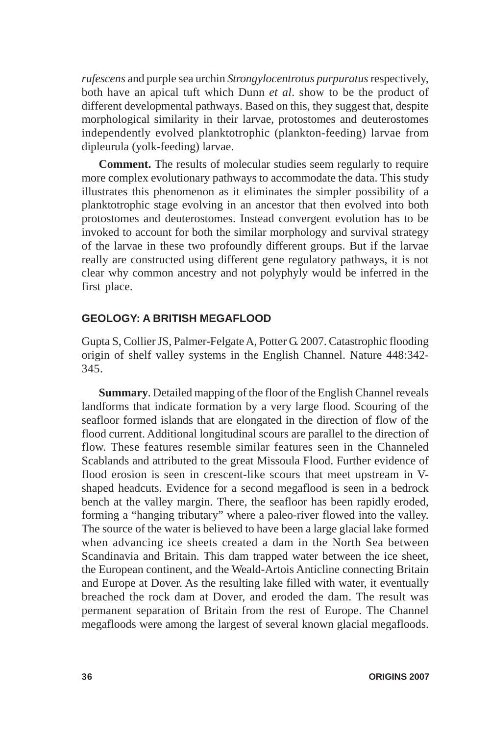*rufescens* and purple sea urchin *Strongylocentrotus purpuratus* respectively, both have an apical tuft which Dunn *et al*. show to be the product of different developmental pathways. Based on this, they suggest that, despite morphological similarity in their larvae, protostomes and deuterostomes independently evolved planktotrophic (plankton-feeding) larvae from dipleurula (yolk-feeding) larvae.

**Comment.** The results of molecular studies seem regularly to require more complex evolutionary pathways to accommodate the data. This study illustrates this phenomenon as it eliminates the simpler possibility of a planktotrophic stage evolving in an ancestor that then evolved into both protostomes and deuterostomes. Instead convergent evolution has to be invoked to account for both the similar morphology and survival strategy of the larvae in these two profoundly different groups. But if the larvae really are constructed using different gene regulatory pathways, it is not clear why common ancestry and not polyphyly would be inferred in the first place.

### **GEOLOGY: A BRITISH MEGAFLOOD**

Gupta S, Collier JS, Palmer-Felgate A, Potter G. 2007. Catastrophic flooding origin of shelf valley systems in the English Channel. Nature 448:342- 345.

**Summary**. Detailed mapping of the floor of the English Channel reveals landforms that indicate formation by a very large flood. Scouring of the seafloor formed islands that are elongated in the direction of flow of the flood current. Additional longitudinal scours are parallel to the direction of flow. These features resemble similar features seen in the Channeled Scablands and attributed to the great Missoula Flood. Further evidence of flood erosion is seen in crescent-like scours that meet upstream in Vshaped headcuts. Evidence for a second megaflood is seen in a bedrock bench at the valley margin. There, the seafloor has been rapidly eroded, forming a "hanging tributary" where a paleo-river flowed into the valley. The source of the water is believed to have been a large glacial lake formed when advancing ice sheets created a dam in the North Sea between Scandinavia and Britain. This dam trapped water between the ice sheet, the European continent, and the Weald-Artois Anticline connecting Britain and Europe at Dover. As the resulting lake filled with water, it eventually breached the rock dam at Dover, and eroded the dam. The result was permanent separation of Britain from the rest of Europe. The Channel megafloods were among the largest of several known glacial megafloods.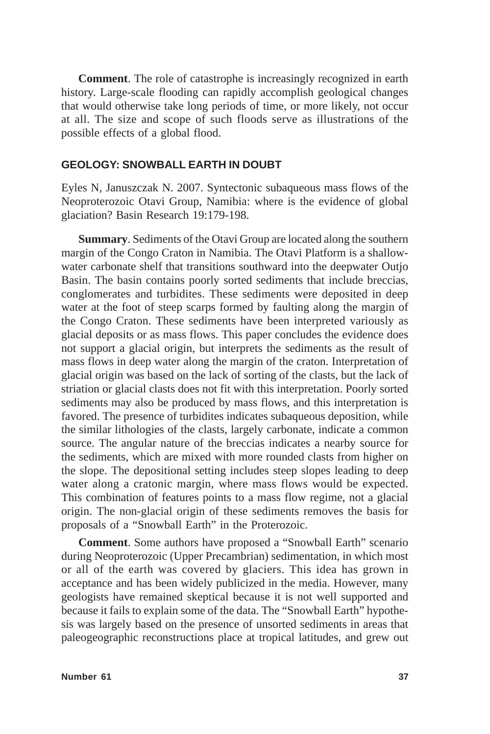**Comment**. The role of catastrophe is increasingly recognized in earth history. Large-scale flooding can rapidly accomplish geological changes that would otherwise take long periods of time, or more likely, not occur at all. The size and scope of such floods serve as illustrations of the possible effects of a global flood.

#### **GEOLOGY: SNOWBALL EARTH IN DOUBT**

Eyles N, Januszczak N. 2007. Syntectonic subaqueous mass flows of the Neoproterozoic Otavi Group, Namibia: where is the evidence of global glaciation? Basin Research 19:179-198.

**Summary**. Sediments of the Otavi Group are located along the southern margin of the Congo Craton in Namibia. The Otavi Platform is a shallowwater carbonate shelf that transitions southward into the deepwater Outjo Basin. The basin contains poorly sorted sediments that include breccias, conglomerates and turbidites. These sediments were deposited in deep water at the foot of steep scarps formed by faulting along the margin of the Congo Craton. These sediments have been interpreted variously as glacial deposits or as mass flows. This paper concludes the evidence does not support a glacial origin, but interprets the sediments as the result of mass flows in deep water along the margin of the craton. Interpretation of glacial origin was based on the lack of sorting of the clasts, but the lack of striation or glacial clasts does not fit with this interpretation. Poorly sorted sediments may also be produced by mass flows, and this interpretation is favored. The presence of turbidites indicates subaqueous deposition, while the similar lithologies of the clasts, largely carbonate, indicate a common source. The angular nature of the breccias indicates a nearby source for the sediments, which are mixed with more rounded clasts from higher on the slope. The depositional setting includes steep slopes leading to deep water along a cratonic margin, where mass flows would be expected. This combination of features points to a mass flow regime, not a glacial origin. The non-glacial origin of these sediments removes the basis for proposals of a "Snowball Earth" in the Proterozoic.

**Comment**. Some authors have proposed a "Snowball Earth" scenario during Neoproterozoic (Upper Precambrian) sedimentation, in which most or all of the earth was covered by glaciers. This idea has grown in acceptance and has been widely publicized in the media. However, many geologists have remained skeptical because it is not well supported and because it fails to explain some of the data. The "Snowball Earth" hypothesis was largely based on the presence of unsorted sediments in areas that paleogeographic reconstructions place at tropical latitudes, and grew out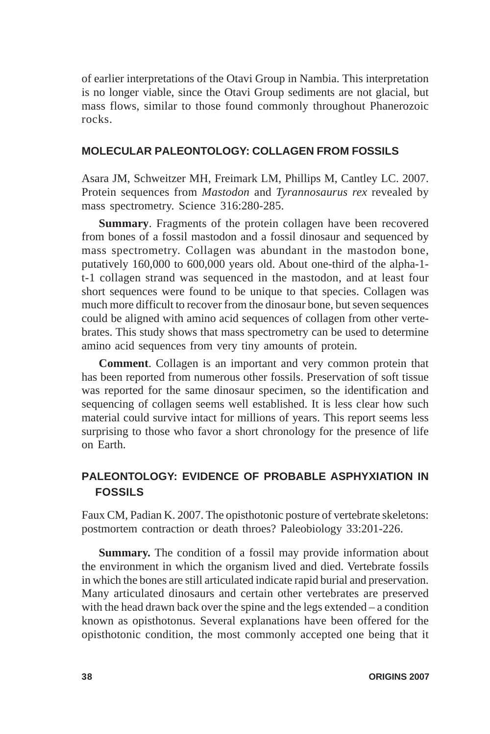of earlier interpretations of the Otavi Group in Nambia. This interpretation is no longer viable, since the Otavi Group sediments are not glacial, but mass flows, similar to those found commonly throughout Phanerozoic rocks.

# **MOLECULAR PALEONTOLOGY: COLLAGEN FROM FOSSILS**

Asara JM, Schweitzer MH, Freimark LM, Phillips M, Cantley LC. 2007. Protein sequences from *Mastodon* and *Tyrannosaurus rex* revealed by mass spectrometry. Science 316:280-285.

**Summary**. Fragments of the protein collagen have been recovered from bones of a fossil mastodon and a fossil dinosaur and sequenced by mass spectrometry. Collagen was abundant in the mastodon bone, putatively 160,000 to 600,000 years old. About one-third of the alpha-1 t-1 collagen strand was sequenced in the mastodon, and at least four short sequences were found to be unique to that species. Collagen was much more difficult to recover from the dinosaur bone, but seven sequences could be aligned with amino acid sequences of collagen from other vertebrates. This study shows that mass spectrometry can be used to determine amino acid sequences from very tiny amounts of protein.

**Comment**. Collagen is an important and very common protein that has been reported from numerous other fossils. Preservation of soft tissue was reported for the same dinosaur specimen, so the identification and sequencing of collagen seems well established. It is less clear how such material could survive intact for millions of years. This report seems less surprising to those who favor a short chronology for the presence of life on Earth.

# **PALEONTOLOGY: EVIDENCE OF PROBABLE ASPHYXIATION IN FOSSILS**

Faux CM, Padian K. 2007. The opisthotonic posture of vertebrate skeletons: postmortem contraction or death throes? Paleobiology 33:201-226.

**Summary.** The condition of a fossil may provide information about the environment in which the organism lived and died. Vertebrate fossils in which the bones are still articulated indicate rapid burial and preservation. Many articulated dinosaurs and certain other vertebrates are preserved with the head drawn back over the spine and the legs extended – a condition known as opisthotonus. Several explanations have been offered for the opisthotonic condition, the most commonly accepted one being that it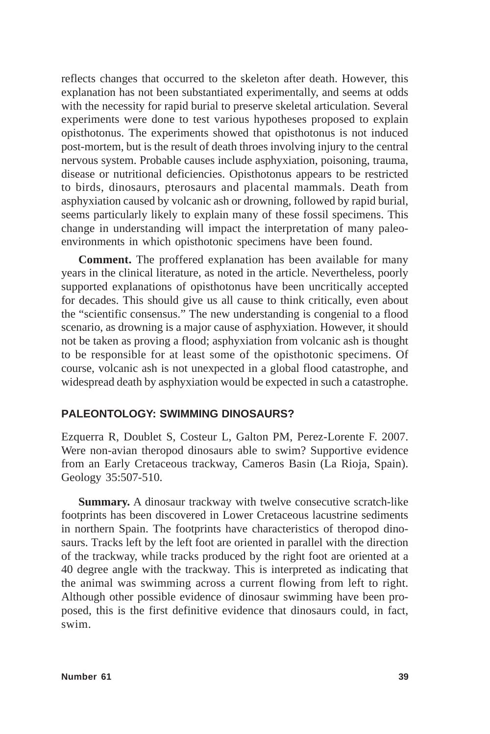reflects changes that occurred to the skeleton after death. However, this explanation has not been substantiated experimentally, and seems at odds with the necessity for rapid burial to preserve skeletal articulation. Several experiments were done to test various hypotheses proposed to explain opisthotonus. The experiments showed that opisthotonus is not induced post-mortem, but is the result of death throes involving injury to the central nervous system. Probable causes include asphyxiation, poisoning, trauma, disease or nutritional deficiencies. Opisthotonus appears to be restricted to birds, dinosaurs, pterosaurs and placental mammals. Death from asphyxiation caused by volcanic ash or drowning, followed by rapid burial, seems particularly likely to explain many of these fossil specimens. This change in understanding will impact the interpretation of many paleoenvironments in which opisthotonic specimens have been found.

**Comment.** The proffered explanation has been available for many years in the clinical literature, as noted in the article. Nevertheless, poorly supported explanations of opisthotonus have been uncritically accepted for decades. This should give us all cause to think critically, even about the "scientific consensus." The new understanding is congenial to a flood scenario, as drowning is a major cause of asphyxiation. However, it should not be taken as proving a flood; asphyxiation from volcanic ash is thought to be responsible for at least some of the opisthotonic specimens. Of course, volcanic ash is not unexpected in a global flood catastrophe, and widespread death by asphyxiation would be expected in such a catastrophe.

## **PALEONTOLOGY: SWIMMING DINOSAURS?**

Ezquerra R, Doublet S, Costeur L, Galton PM, Perez-Lorente F. 2007. Were non-avian theropod dinosaurs able to swim? Supportive evidence from an Early Cretaceous trackway, Cameros Basin (La Rioja, Spain). Geology 35:507-510.

**Summary.** A dinosaur trackway with twelve consecutive scratch-like footprints has been discovered in Lower Cretaceous lacustrine sediments in northern Spain. The footprints have characteristics of theropod dinosaurs. Tracks left by the left foot are oriented in parallel with the direction of the trackway, while tracks produced by the right foot are oriented at a 40 degree angle with the trackway. This is interpreted as indicating that the animal was swimming across a current flowing from left to right. Although other possible evidence of dinosaur swimming have been proposed, this is the first definitive evidence that dinosaurs could, in fact, swim.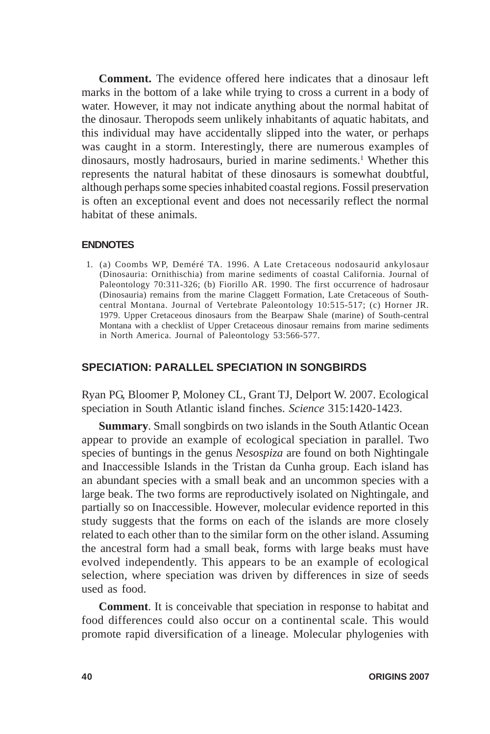**Comment.** The evidence offered here indicates that a dinosaur left marks in the bottom of a lake while trying to cross a current in a body of water. However, it may not indicate anything about the normal habitat of the dinosaur. Theropods seem unlikely inhabitants of aquatic habitats, and this individual may have accidentally slipped into the water, or perhaps was caught in a storm. Interestingly, there are numerous examples of dinosaurs, mostly hadrosaurs, buried in marine sediments.<sup>1</sup> Whether this represents the natural habitat of these dinosaurs is somewhat doubtful, although perhaps some species inhabited coastal regions. Fossil preservation is often an exceptional event and does not necessarily reflect the normal habitat of these animals.

#### **ENDNOTES**

 1. (a) Coombs WP, Deméré TA. 1996. A Late Cretaceous nodosaurid ankylosaur (Dinosauria: Ornithischia) from marine sediments of coastal California. Journal of Paleontology 70:311-326; (b) Fiorillo AR. 1990. The first occurrence of hadrosaur (Dinosauria) remains from the marine Claggett Formation, Late Cretaceous of Southcentral Montana. Journal of Vertebrate Paleontology 10:515-517; (c) Horner JR. 1979. Upper Cretaceous dinosaurs from the Bearpaw Shale (marine) of South-central Montana with a checklist of Upper Cretaceous dinosaur remains from marine sediments in North America. Journal of Paleontology 53:566-577.

# **SPECIATION: PARALLEL SPECIATION IN SONGBIRDS**

Ryan PG, Bloomer P, Moloney CL, Grant TJ, Delport W. 2007. Ecological speciation in South Atlantic island finches. *Science* 315:1420-1423.

**Summary**. Small songbirds on two islands in the South Atlantic Ocean appear to provide an example of ecological speciation in parallel. Two species of buntings in the genus *Nesospiza* are found on both Nightingale and Inaccessible Islands in the Tristan da Cunha group. Each island has an abundant species with a small beak and an uncommon species with a large beak. The two forms are reproductively isolated on Nightingale, and partially so on Inaccessible. However, molecular evidence reported in this study suggests that the forms on each of the islands are more closely related to each other than to the similar form on the other island. Assuming the ancestral form had a small beak, forms with large beaks must have evolved independently. This appears to be an example of ecological selection, where speciation was driven by differences in size of seeds used as food.

**Comment**. It is conceivable that speciation in response to habitat and food differences could also occur on a continental scale. This would promote rapid diversification of a lineage. Molecular phylogenies with